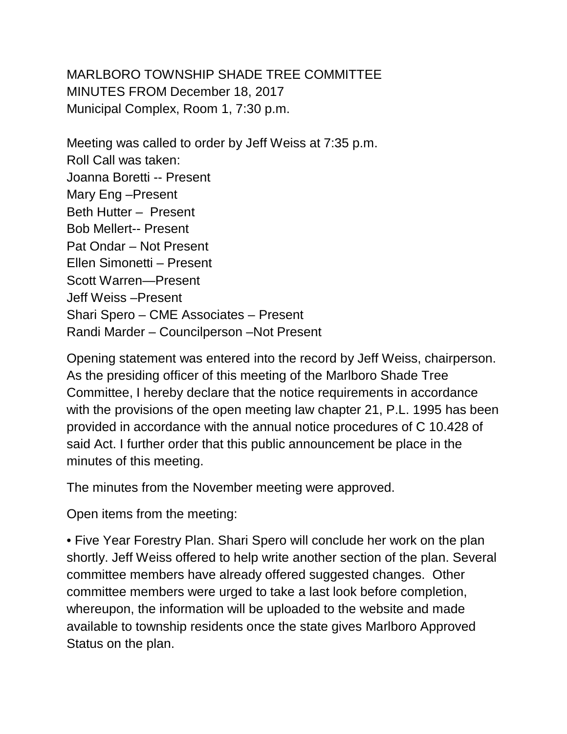MARLBORO TOWNSHIP SHADE TREE COMMITTEE MINUTES FROM December 18, 2017 Municipal Complex, Room 1, 7:30 p.m.

Meeting was called to order by Jeff Weiss at 7:35 p.m. Roll Call was taken: Joanna Boretti -- Present Mary Eng –Present Beth Hutter – Present Bob Mellert-- Present Pat Ondar – Not Present Ellen Simonetti – Present Scott Warren—Present Jeff Weiss –Present Shari Spero – CME Associates – Present Randi Marder – Councilperson –Not Present

Opening statement was entered into the record by Jeff Weiss, chairperson. As the presiding officer of this meeting of the Marlboro Shade Tree Committee, I hereby declare that the notice requirements in accordance with the provisions of the open meeting law chapter 21, P.L. 1995 has been provided in accordance with the annual notice procedures of C 10.428 of said Act. I further order that this public announcement be place in the minutes of this meeting.

The minutes from the November meeting were approved.

Open items from the meeting:

• Five Year Forestry Plan. Shari Spero will conclude her work on the plan shortly. Jeff Weiss offered to help write another section of the plan. Several committee members have already offered suggested changes. Other committee members were urged to take a last look before completion, whereupon, the information will be uploaded to the website and made available to township residents once the state gives Marlboro Approved Status on the plan.